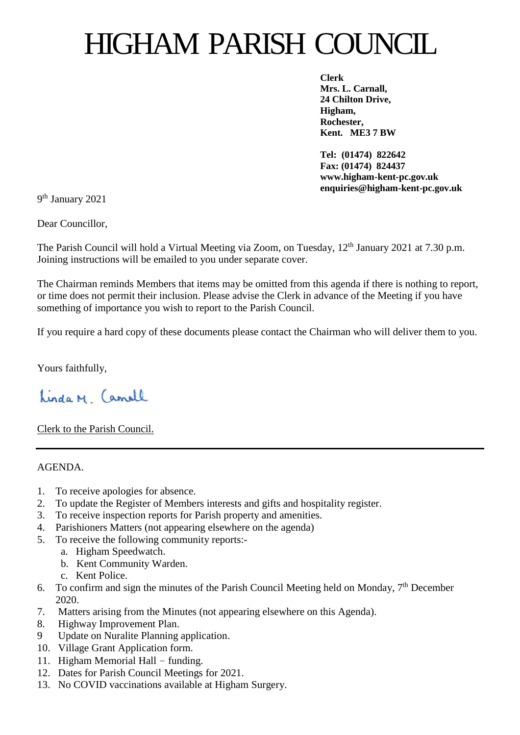## HIGHAM PARISH COUNCIL

**Clerk Mrs. L. Carnall, 24 Chilton Drive, Higham, Rochester, Kent. ME3 7 BW**

**Tel: (01474) 822642 Fax: (01474) 824437 www.higham-kent-pc.gov.uk enquiries@higham-kent-pc.gov.uk**

9<sup>th</sup> January 2021

Dear Councillor,

The Parish Council will hold a Virtual Meeting via Zoom, on Tuesday, 12<sup>th</sup> January 2021 at 7.30 p.m. Joining instructions will be emailed to you under separate cover.

The Chairman reminds Members that items may be omitted from this agenda if there is nothing to report, or time does not permit their inclusion. Please advise the Clerk in advance of the Meeting if you have something of importance you wish to report to the Parish Council.

If you require a hard copy of these documents please contact the Chairman who will deliver them to you.

Yours faithfully,

Linda M Camell

Clerk to the Parish Council.

AGENDA.

- 1. To receive apologies for absence.
- 2. To update the Register of Members interests and gifts and hospitality register.
- 3. To receive inspection reports for Parish property and amenities.
- 4. Parishioners Matters (not appearing elsewhere on the agenda)
- 5. To receive the following community reports:
	- a. Higham Speedwatch.
	- b. Kent Community Warden.
	- c. Kent Police.
- 6. To confirm and sign the minutes of the Parish Council Meeting held on Monday,  $7<sup>th</sup>$  December 2020.
- 7. Matters arising from the Minutes (not appearing elsewhere on this Agenda).
- 8. Highway Improvement Plan.
- 9 Update on Nuralite Planning application.
- 10. Village Grant Application form.
- 11. Higham Memorial Hall funding.
- 12. Dates for Parish Council Meetings for 2021.
- 13. No COVID vaccinations available at Higham Surgery.